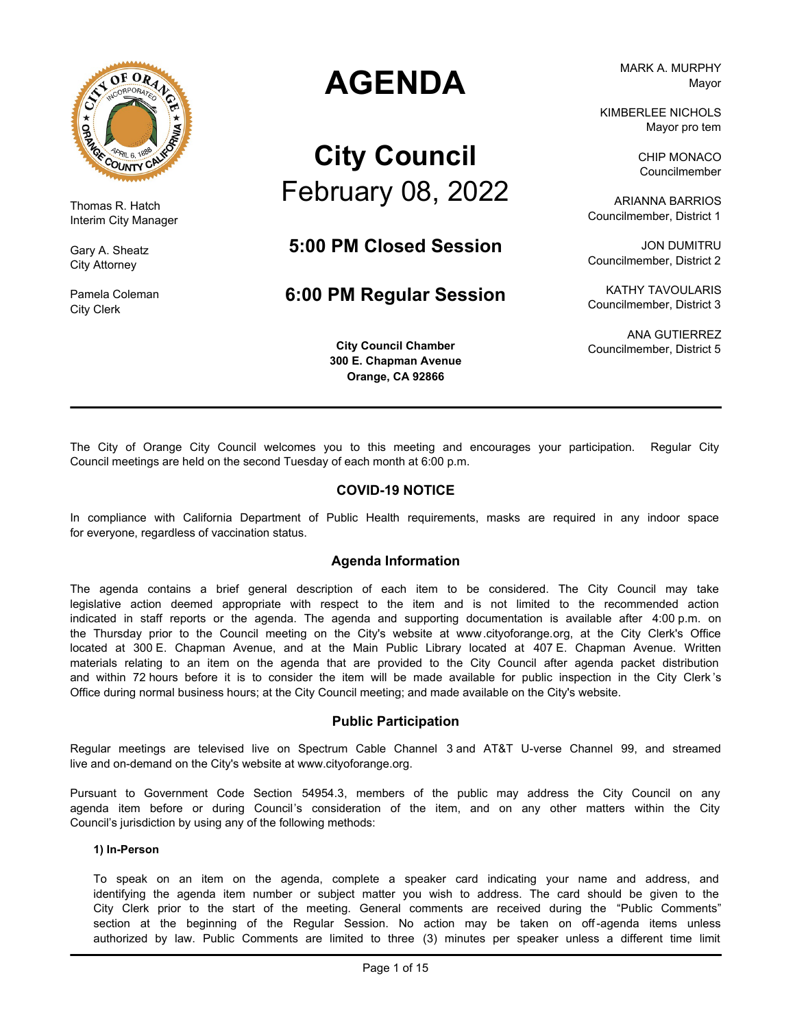

Thomas R. Hatch Interim City Manager

Gary A. Sheatz City Attorney

Pamela Coleman City Clerk

# **AGENDA**

# **City Council** February 08, 2022

**5:00 PM Closed Session**

# **6:00 PM Regular Session**

**City Council Chamber 300 E. Chapman Avenue Orange, CA 92866**

MARK A. MURPHY Mayor

KIMBERLEE NICHOLS Mayor pro tem

> CHIP MONACO Councilmember

ARIANNA BARRIOS Councilmember, District 1

JON DUMITRU Councilmember, District 2

KATHY TAVOULARIS Councilmember, District 3

ANA GUTIERREZ Councilmember, District 5

The City of Orange City Council welcomes you to this meeting and encourages your participation. Regular City Council meetings are held on the second Tuesday of each month at 6:00 p.m.

### **COVID-19 NOTICE**

In compliance with California Department of Public Health requirements, masks are required in any indoor space for everyone, regardless of vaccination status.

### **Agenda Information**

The agenda contains a brief general description of each item to be considered. The City Council may take legislative action deemed appropriate with respect to the item and is not limited to the recommended action indicated in staff reports or the agenda. The agenda and supporting documentation is available after 4:00 p.m. on the Thursday prior to the Council meeting on the City's website at www.cityoforange.org, at the City Clerk's Office located at 300 E. Chapman Avenue, and at the Main Public Library located at 407 E. Chapman Avenue. Written materials relating to an item on the agenda that are provided to the City Council after agenda packet distribution and within 72 hours before it is to consider the item will be made available for public inspection in the City Clerk 's Office during normal business hours; at the City Council meeting; and made available on the City's website.

### **Public Participation**

Regular meetings are televised live on Spectrum Cable Channel 3 and AT&T U-verse Channel 99, and streamed live and on-demand on the City's website at www.cityoforange.org.

Pursuant to Government Code Section 54954.3, members of the public may address the City Council on any agenda item before or during Council's consideration of the item, and on any other matters within the City Council's jurisdiction by using any of the following methods:

### **1) In-Person**

To speak on an item on the agenda, complete a speaker card indicating your name and address, and identifying the agenda item number or subject matter you wish to address. The card should be given to the City Clerk prior to the start of the meeting. General comments are received during the "Public Comments" section at the beginning of the Regular Session. No action may be taken on off-agenda items unless authorized by law. Public Comments are limited to three (3) minutes per speaker unless a different time limit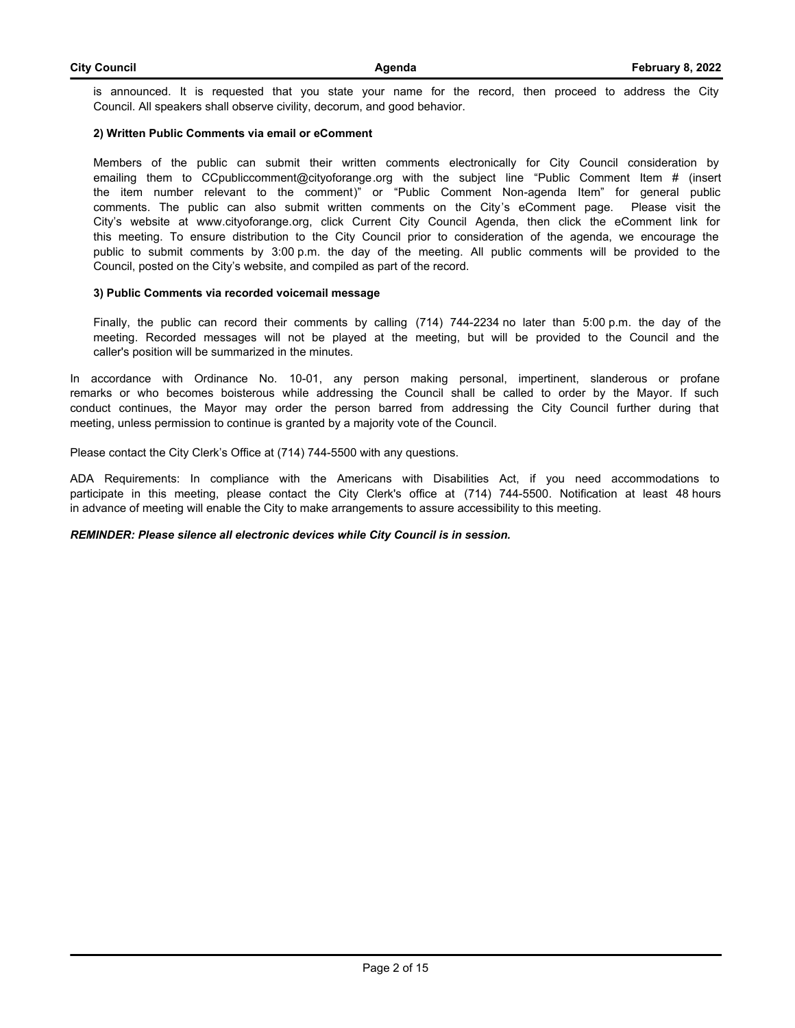is announced. It is requested that you state your name for the record, then proceed to address the City Council. All speakers shall observe civility, decorum, and good behavior.

#### **2) Written Public Comments via email or eComment**

Members of the public can submit their written comments electronically for City Council consideration by emailing them to CCpubliccomment@cityoforange.org with the subject line "Public Comment Item # (insert the item number relevant to the comment)" or "Public Comment Non-agenda Item" for general public comments. The public can also submit written comments on the City's eComment page. Please visit the City's website at www.cityoforange.org, click Current City Council Agenda, then click the eComment link for this meeting. To ensure distribution to the City Council prior to consideration of the agenda, we encourage the public to submit comments by 3:00 p.m. the day of the meeting. All public comments will be provided to the Council, posted on the City's website, and compiled as part of the record.

#### **3) Public Comments via recorded voicemail message**

Finally, the public can record their comments by calling (714) 744-2234 no later than 5:00 p.m. the day of the meeting. Recorded messages will not be played at the meeting, but will be provided to the Council and the caller's position will be summarized in the minutes.

In accordance with Ordinance No. 10-01, any person making personal, impertinent, slanderous or profane remarks or who becomes boisterous while addressing the Council shall be called to order by the Mayor. If such conduct continues, the Mayor may order the person barred from addressing the City Council further during that meeting, unless permission to continue is granted by a majority vote of the Council.

Please contact the City Clerk's Office at (714) 744-5500 with any questions.

ADA Requirements: In compliance with the Americans with Disabilities Act, if you need accommodations to participate in this meeting, please contact the City Clerk's office at (714) 744-5500. Notification at least 48 hours in advance of meeting will enable the City to make arrangements to assure accessibility to this meeting.

#### *REMINDER: Please silence all electronic devices while City Council is in session.*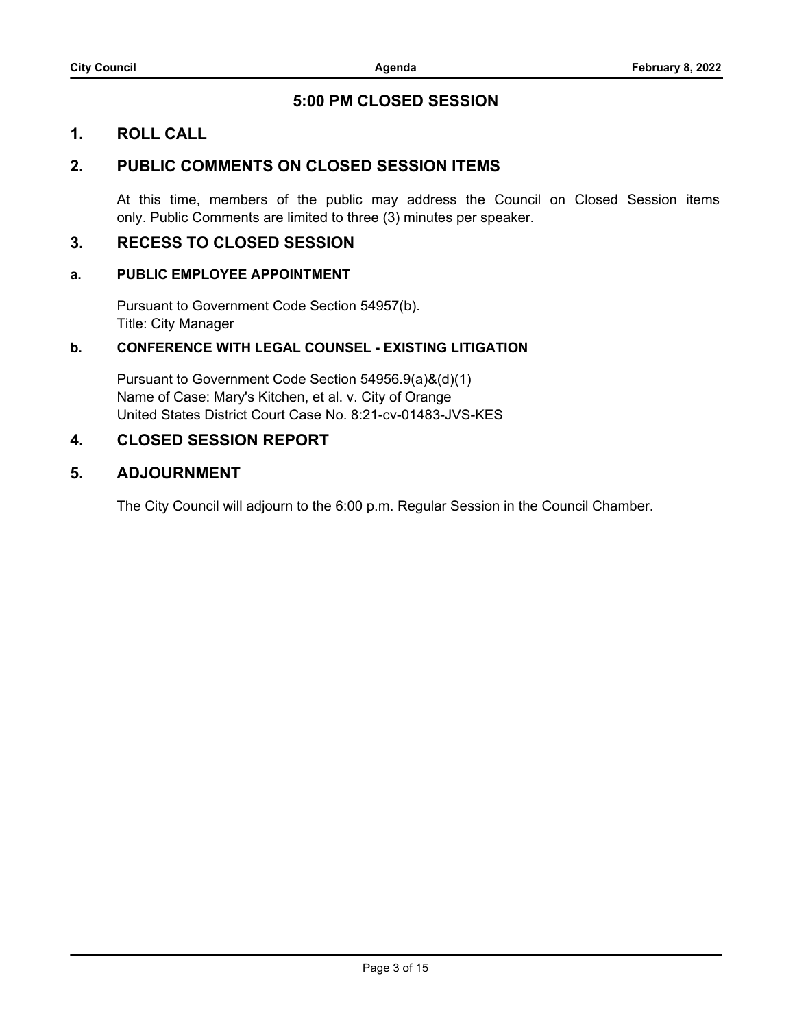# **5:00 PM CLOSED SESSION**

## **1. ROLL CALL**

# **2. PUBLIC COMMENTS ON CLOSED SESSION ITEMS**

At this time, members of the public may address the Council on Closed Session items only. Public Comments are limited to three (3) minutes per speaker.

### **3. RECESS TO CLOSED SESSION**

### **a. PUBLIC EMPLOYEE APPOINTMENT**

Pursuant to Government Code Section 54957(b). Title: City Manager

### **b. CONFERENCE WITH LEGAL COUNSEL - EXISTING LITIGATION**

Pursuant to Government Code Section 54956.9(a)&(d)(1) Name of Case: Mary's Kitchen, et al. v. City of Orange United States District Court Case No. 8:21-cv-01483-JVS-KES

### **4. CLOSED SESSION REPORT**

### **5. ADJOURNMENT**

The City Council will adjourn to the 6:00 p.m. Regular Session in the Council Chamber.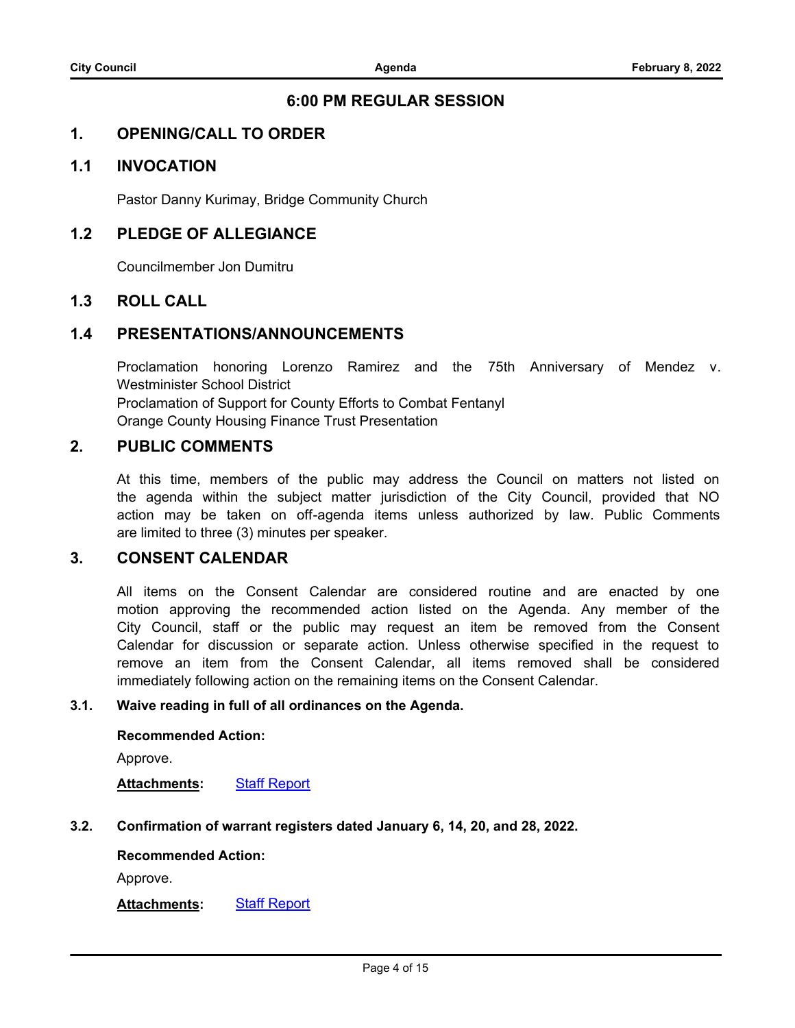## **6:00 PM REGULAR SESSION**

### **1. OPENING/CALL TO ORDER**

### **1.1 INVOCATION**

Pastor Danny Kurimay, Bridge Community Church

### **1.2 PLEDGE OF ALLEGIANCE**

Councilmember Jon Dumitru

### **1.3 ROLL CALL**

### **1.4 PRESENTATIONS/ANNOUNCEMENTS**

Proclamation honoring Lorenzo Ramirez and the 75th Anniversary of Mendez v. Westminister School District Proclamation of Support for County Efforts to Combat Fentanyl Orange County Housing Finance Trust Presentation

## **2. PUBLIC COMMENTS**

At this time, members of the public may address the Council on matters not listed on the agenda within the subject matter jurisdiction of the City Council, provided that NO action may be taken on off-agenda items unless authorized by law. Public Comments are limited to three (3) minutes per speaker.

# **3. CONSENT CALENDAR**

All items on the Consent Calendar are considered routine and are enacted by one motion approving the recommended action listed on the Agenda. Any member of the City Council, staff or the public may request an item be removed from the Consent Calendar for discussion or separate action. Unless otherwise specified in the request to remove an item from the Consent Calendar, all items removed shall be considered immediately following action on the remaining items on the Consent Calendar.

### **3.1. [Waive reading in full of all ordinances on the Agenda.](http://cityoforange.legistar.com/gateway.aspx?m=l&id=/matter.aspx?key=2444)**

### **Recommended Action:**

Approve.

**Attachments:** [Staff Report](http://cityoforange.legistar.com/gateway.aspx?M=F&ID=c0898c7f-54b7-4a60-8882-fceffa31daff.pdf)

### **3.2. [Confirmation of warrant registers dated January 6, 14, 20, and 28, 2022.](http://cityoforange.legistar.com/gateway.aspx?m=l&id=/matter.aspx?key=2445)**

### **Recommended Action:**

Approve.

**Attachments:** [Staff Report](http://cityoforange.legistar.com/gateway.aspx?M=F&ID=981b36b6-5490-490d-a151-afc8ebe3c794.pdf)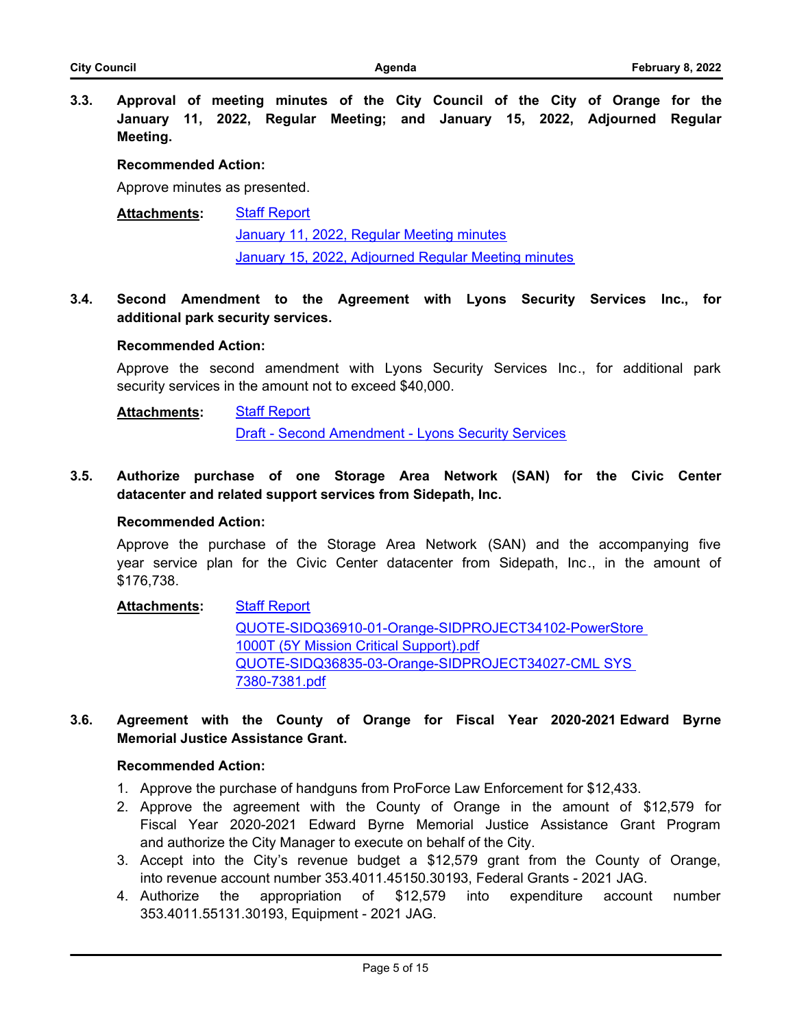**3.3. [Approval of meeting minutes of the City Council of the City of Orange for the](http://cityoforange.legistar.com/gateway.aspx?m=l&id=/matter.aspx?key=2463) January 11, 2022, Regular Meeting; and January 15, 2022, Adjourned Regular Meeting.**

### **Recommended Action:**

Approve minutes as presented.

#### [Staff Report](http://cityoforange.legistar.com/gateway.aspx?M=F&ID=0c4f1250-0db9-4c08-8123-eb3d49a3d877.pdf) [January 11, 2022, Regular Meeting minutes](http://cityoforange.legistar.com/gateway.aspx?M=F&ID=f138101f-0c0c-4887-a83d-bbee69e14feb.pdf) [January 15, 2022, Adjourned Regular Meeting minutes](http://cityoforange.legistar.com/gateway.aspx?M=F&ID=f3ff17ab-3ad3-4880-91b0-3b7d1080fcbf.pdf) **Attachments:**

**3.4. [Second Amendment to the Agreement with Lyons Security Services Inc., for](http://cityoforange.legistar.com/gateway.aspx?m=l&id=/matter.aspx?key=2432) additional park security services.**

#### **Recommended Action:**

Approve the second amendment with Lyons Security Services Inc., for additional park security services in the amount not to exceed \$40,000.

#### [Staff Report](http://cityoforange.legistar.com/gateway.aspx?M=F&ID=7fcef5ec-3020-45a8-94d8-22fcedcdebe2.pdf) **Attachments:**

[Draft - Second Amendment - Lyons Security Services](http://cityoforange.legistar.com/gateway.aspx?M=F&ID=d89c29ca-c32c-44ee-bd66-1bf9f2453d4b.pdf)

**3.5. [Authorize purchase of one Storage Area Network \(SAN\) for the Civic Center](http://cityoforange.legistar.com/gateway.aspx?m=l&id=/matter.aspx?key=2451) datacenter and related support services from Sidepath, Inc.**

### **Recommended Action:**

Approve the purchase of the Storage Area Network (SAN) and the accompanying five year service plan for the Civic Center datacenter from Sidepath, Inc., in the amount of \$176,738.

#### [Staff Report](http://cityoforange.legistar.com/gateway.aspx?M=F&ID=ce2e8850-4bfd-4698-8b8d-402217de4dde.pdf) **Attachments:**

[QUOTE-SIDQ36910-01-Orange-SIDPROJECT34102-PowerStore](http://cityoforange.legistar.com/gateway.aspx?M=F&ID=b6ff2e21-4364-4a0e-ac33-50bb050d3685.pdf)  1000T (5Y Mission Critical Support).pdf [QUOTE-SIDQ36835-03-Orange-SIDPROJECT34027-CML SYS](http://cityoforange.legistar.com/gateway.aspx?M=F&ID=240393c9-dffc-4828-94ee-33f4bc64563f.pdf)  7380-7381.pdf

### **3.6. [Agreement with the County of Orange for Fiscal Year 2020-2021 Edward Byrne](http://cityoforange.legistar.com/gateway.aspx?m=l&id=/matter.aspx?key=2456) Memorial Justice Assistance Grant.**

### **Recommended Action:**

- 1. Approve the purchase of handguns from ProForce Law Enforcement for \$12,433.
- 2. Approve the agreement with the County of Orange in the amount of \$12,579 for Fiscal Year 2020-2021 Edward Byrne Memorial Justice Assistance Grant Program and authorize the City Manager to execute on behalf of the City.
- 3. Accept into the City's revenue budget a \$12,579 grant from the County of Orange, into revenue account number 353.4011.45150.30193, Federal Grants - 2021 JAG.
- 4. Authorize the appropriation of \$12,579 into expenditure account number 353.4011.55131.30193, Equipment - 2021 JAG.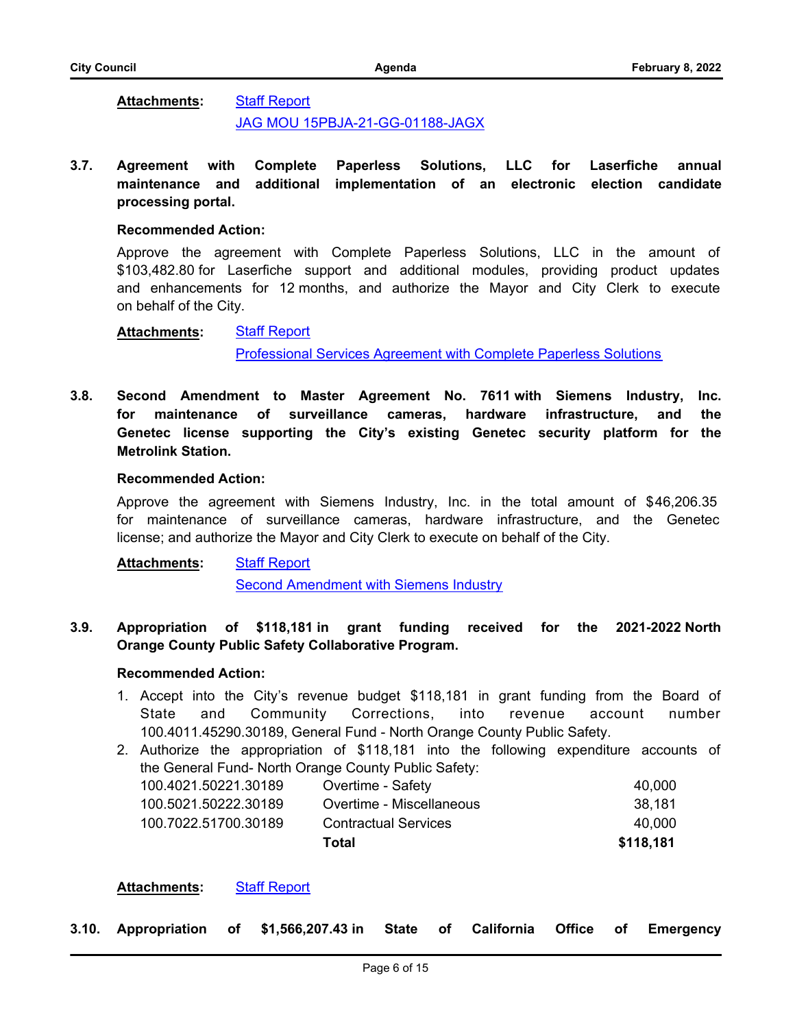#### [Staff Report](http://cityoforange.legistar.com/gateway.aspx?M=F&ID=9e63e04a-243c-4c0f-aac2-24289841af31.pdf) **Attachments:**

# [JAG MOU 15PBJA-21-GG-01188-JAGX](http://cityoforange.legistar.com/gateway.aspx?M=F&ID=2d5a5265-2f18-48f7-9b40-48f4197d6573.pdf)

### **3.7. [Agreement with Complete Paperless Solutions, LLC for Laserfiche annual](http://cityoforange.legistar.com/gateway.aspx?m=l&id=/matter.aspx?key=2464) maintenance and additional implementation of an electronic election candidate processing portal.**

### **Recommended Action:**

Approve the agreement with Complete Paperless Solutions, LLC in the amount of \$103,482.80 for Laserfiche support and additional modules, providing product updates and enhancements for 12 months, and authorize the Mayor and City Clerk to execute on behalf of the City.

#### [Staff Report](http://cityoforange.legistar.com/gateway.aspx?M=F&ID=20ab6812-22f2-4211-87d4-ab463a50079a.pdf) **Attachments:**

[Professional Services Agreement with Complete Paperless Solutions](http://cityoforange.legistar.com/gateway.aspx?M=F&ID=9dedf64e-a4e6-4fb2-b787-c7a3c5bf17b1.pdf)

**3.8. [Second Amendment to Master Agreement No. 7611 with Siemens Industry, Inc.](http://cityoforange.legistar.com/gateway.aspx?m=l&id=/matter.aspx?key=2465) for maintenance of surveillance cameras, hardware infrastructure, and the Genetec license supporting the City's existing Genetec security platform for the Metrolink Station.**

### **Recommended Action:**

Approve the agreement with Siemens Industry, Inc. in the total amount of \$46,206.35 for maintenance of surveillance cameras, hardware infrastructure, and the Genetec license; and authorize the Mayor and City Clerk to execute on behalf of the City.

#### [Staff Report](http://cityoforange.legistar.com/gateway.aspx?M=F&ID=b8389bb3-fda2-4c1d-82d0-c5622ddd009c.pdf) **Attachments:**

[Second Amendment with Siemens Industry](http://cityoforange.legistar.com/gateway.aspx?M=F&ID=9a51219f-b85e-4dd8-a7e1-7812429293e3.pdf)

### **3.9. [Appropriation of \\$118,181 in grant funding received for the 2021-2022 North](http://cityoforange.legistar.com/gateway.aspx?m=l&id=/matter.aspx?key=2353) Orange County Public Safety Collaborative Program.**

### **Recommended Action:**

- 1. Accept into the City's revenue budget \$118,181 in grant funding from the Board of State and Community Corrections, into revenue account number 100.4011.45290.30189, General Fund - North Orange County Public Safety.
- 2. Authorize the appropriation of \$118,181 into the following expenditure accounts of the General Fund- North Orange County Public Safety:

| 100.4021.50221.30189 | Overtime - Safety           | 40.000    |
|----------------------|-----------------------------|-----------|
| 100.5021.50222.30189 | Overtime - Miscellaneous    | 38.181    |
| 100.7022.51700.30189 | <b>Contractual Services</b> | 40.000    |
|                      | Total                       | \$118,181 |

### **Attachments:** [Staff Report](http://cityoforange.legistar.com/gateway.aspx?M=F&ID=3da19339-079e-4057-97dd-8462212a59bc.pdf)

**3.10. [Appropriation of \\$1,566,207.43 in State of California Office of Emergency](http://cityoforange.legistar.com/gateway.aspx?m=l&id=/matter.aspx?key=2438)**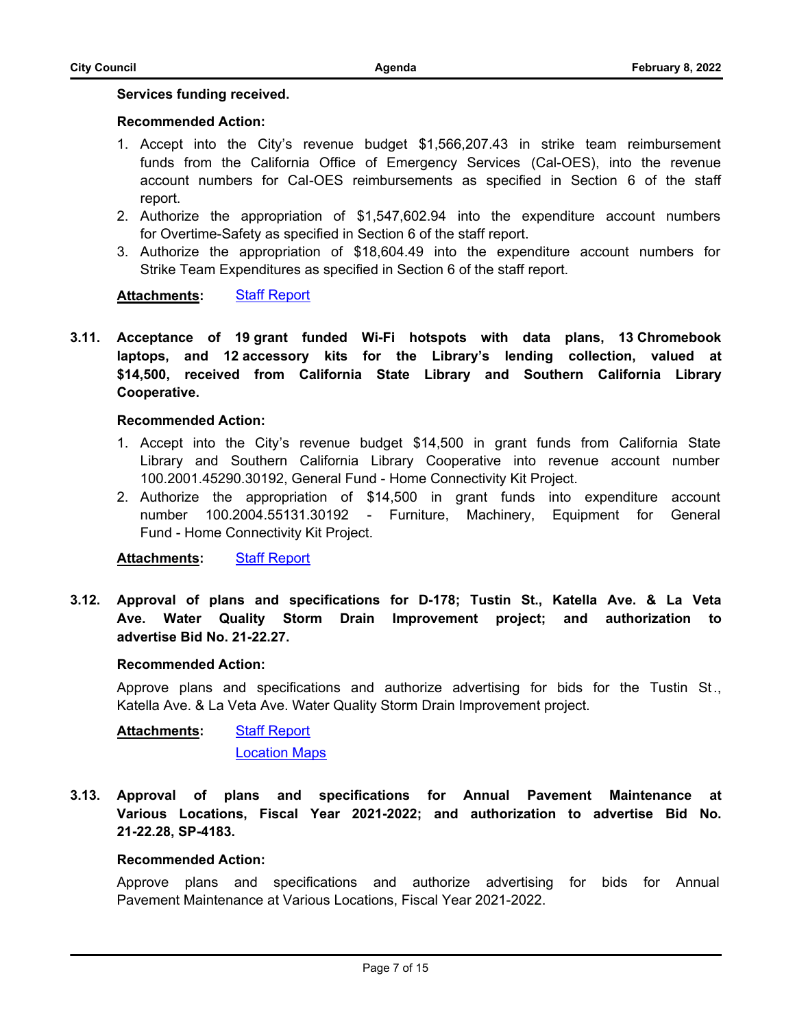### **[Services funding received.](http://cityoforange.legistar.com/gateway.aspx?m=l&id=/matter.aspx?key=2438)**

### **Recommended Action:**

- 1. Accept into the City's revenue budget \$1,566,207.43 in strike team reimbursement funds from the California Office of Emergency Services (Cal-OES), into the revenue account numbers for Cal-OES reimbursements as specified in Section 6 of the staff report.
- 2. Authorize the appropriation of \$1,547,602.94 into the expenditure account numbers for Overtime-Safety as specified in Section 6 of the staff report.
- 3. Authorize the appropriation of \$18,604.49 into the expenditure account numbers for Strike Team Expenditures as specified in Section 6 of the staff report.

### **Attachments:** [Staff Report](http://cityoforange.legistar.com/gateway.aspx?M=F&ID=61aa5987-d410-41f7-8f42-9426e22ca253.pdf)

**3.11. [Acceptance of 19 grant funded Wi-Fi hotspots with data plans, 13 Chromebook](http://cityoforange.legistar.com/gateway.aspx?m=l&id=/matter.aspx?key=2441) laptops, and 12 accessory kits for the Library's lending collection, valued at \$14,500, received from California State Library and Southern California Library Cooperative.**

### **Recommended Action:**

- 1. Accept into the City's revenue budget \$14,500 in grant funds from California State Library and Southern California Library Cooperative into revenue account number 100.2001.45290.30192, General Fund - Home Connectivity Kit Project.
- 2. Authorize the appropriation of \$14,500 in grant funds into expenditure account number 100.2004.55131.30192 - Furniture, Machinery, Equipment for General Fund - Home Connectivity Kit Project.

**Attachments:** [Staff Report](http://cityoforange.legistar.com/gateway.aspx?M=F&ID=9236c439-8052-4d87-88e3-a6d87baa69cf.pdf)

**3.12. [Approval of plans and specifications for D-178; Tustin St., Katella Ave. & La Veta](http://cityoforange.legistar.com/gateway.aspx?m=l&id=/matter.aspx?key=2410) Ave. Water Quality Storm Drain Improvement project; and authorization to advertise Bid No. 21-22.27.**

### **Recommended Action:**

Approve plans and specifications and authorize advertising for bids for the Tustin St ., Katella Ave. & La Veta Ave. Water Quality Storm Drain Improvement project.

[Staff Report](http://cityoforange.legistar.com/gateway.aspx?M=F&ID=331b81a3-3882-4cba-bfe8-66737d099353.pdf) [Location Maps](http://cityoforange.legistar.com/gateway.aspx?M=F&ID=4ecbe99c-9c05-43c4-abd9-a6b9cd7ebea8.pdf) **Attachments:**

**3.13. [Approval of plans and specifications for Annual Pavement Maintenance at](http://cityoforange.legistar.com/gateway.aspx?m=l&id=/matter.aspx?key=2411) Various Locations, Fiscal Year 2021-2022; and authorization to advertise Bid No. 21-22.28, SP-4183.**

### **Recommended Action:**

Approve plans and specifications and authorize advertising for bids for Annual Pavement Maintenance at Various Locations, Fiscal Year 2021-2022.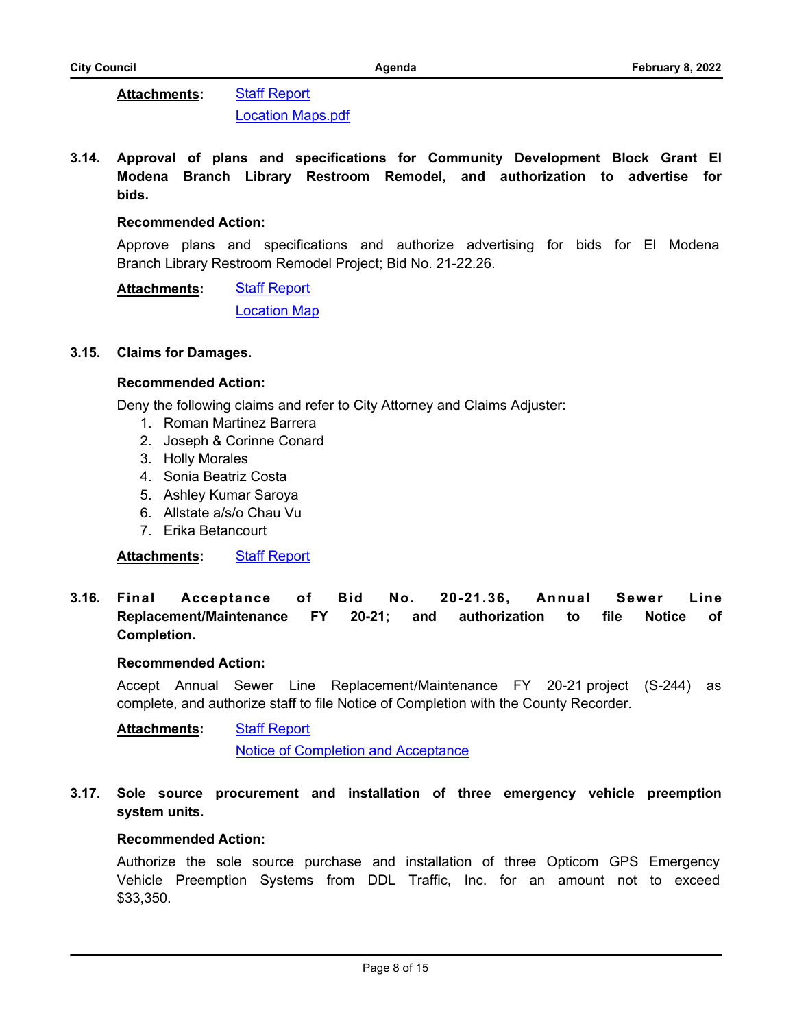#### [Staff Report](http://cityoforange.legistar.com/gateway.aspx?M=F&ID=9b150f0d-8c67-435d-b5b9-d0652b1a29c2.pdf) [Location Maps.pdf](http://cityoforange.legistar.com/gateway.aspx?M=F&ID=784bc3d1-3f97-41c5-b60f-972c77995612.pdf) **Attachments:**

**3.14. [Approval of plans and specifications for Community Development Block Grant El](http://cityoforange.legistar.com/gateway.aspx?m=l&id=/matter.aspx?key=2416) Modena Branch Library Restroom Remodel, and authorization to advertise for bids.**

### **Recommended Action:**

Approve plans and specifications and authorize advertising for bids for El Modena Branch Library Restroom Remodel Project; Bid No. 21-22.26.

[Staff Report](http://cityoforange.legistar.com/gateway.aspx?M=F&ID=72e270b3-dca6-433c-9cf5-6381b40e9bef.pdf) [Location Map](http://cityoforange.legistar.com/gateway.aspx?M=F&ID=492663b7-0e38-45fa-bca0-ac29e372f5ee.pdf) **Attachments:**

### **3.15. [Claims for Damages.](http://cityoforange.legistar.com/gateway.aspx?m=l&id=/matter.aspx?key=2406)**

### **Recommended Action:**

Deny the following claims and refer to City Attorney and Claims Adjuster:

- 1. Roman Martinez Barrera
- 2. Joseph & Corinne Conard
- 3. Holly Morales
- 4. Sonia Beatriz Costa
- 5. Ashley Kumar Saroya
- 6. Allstate a/s/o Chau Vu
- 7. Erika Betancourt

**Attachments:** [Staff Report](http://cityoforange.legistar.com/gateway.aspx?M=F&ID=a8b4d42a-0595-422a-87f7-13c8b8fdc4fc.pdf)

**3.16. [Final Acceptance of Bid No. 20-21.36, Annual Sewer Line](http://cityoforange.legistar.com/gateway.aspx?m=l&id=/matter.aspx?key=2449) Replacement/Maintenance FY 20-21; and authorization to file Notice of Completion.**

### **Recommended Action:**

Accept Annual Sewer Line Replacement/Maintenance FY 20-21 project (S-244) as complete, and authorize staff to file Notice of Completion with the County Recorder.

[Staff Report](http://cityoforange.legistar.com/gateway.aspx?M=F&ID=0aa7c756-9f9c-40e9-9928-8f411801adf3.pdf) [Notice of Completion and Acceptance](http://cityoforange.legistar.com/gateway.aspx?M=F&ID=0397c787-747f-44de-8b35-3c5ef5dc650a.pdf) **Attachments:**

**3.17. [Sole source procurement and installation of three emergency vehicle preemption](http://cityoforange.legistar.com/gateway.aspx?m=l&id=/matter.aspx?key=2413) system units.**

### **Recommended Action:**

Authorize the sole source purchase and installation of three Opticom GPS Emergency Vehicle Preemption Systems from DDL Traffic, Inc. for an amount not to exceed \$33,350.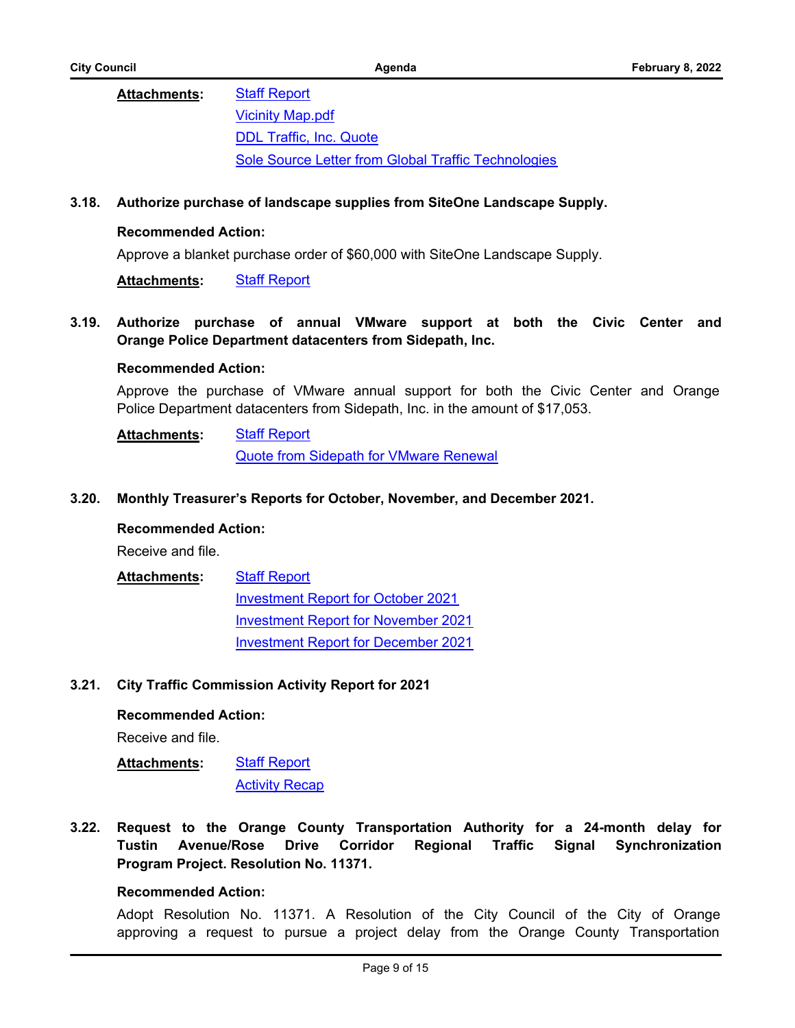### [Staff Report](http://cityoforange.legistar.com/gateway.aspx?M=F&ID=e0dc6cb2-45a8-4366-9a18-38b5ac604d7b.pdf) [Vicinity Map.pdf](http://cityoforange.legistar.com/gateway.aspx?M=F&ID=f70b59f0-1b83-4f0a-988f-4d404def9396.pdf) [DDL Traffic, Inc. Quote](http://cityoforange.legistar.com/gateway.aspx?M=F&ID=b8e98862-01bd-4fd0-b7b1-c8639e93e853.pdf) [Sole Source Letter from Global Traffic Technologies](http://cityoforange.legistar.com/gateway.aspx?M=F&ID=bacc55e2-82c0-4502-a50b-eaf27f24b76e.pdf) **Attachments:**

### **3.18. [Authorize purchase of landscape supplies from SiteOne Landscape Supply.](http://cityoforange.legistar.com/gateway.aspx?m=l&id=/matter.aspx?key=2431)**

### **Recommended Action:**

Approve a blanket purchase order of \$60,000 with SiteOne Landscape Supply.

**Attachments:** [Staff Report](http://cityoforange.legistar.com/gateway.aspx?M=F&ID=7b2e2811-67ec-4a7f-91ae-703ecce93167.pdf)

**3.19. [Authorize purchase of annual VMware support at both the Civic Center and](http://cityoforange.legistar.com/gateway.aspx?m=l&id=/matter.aspx?key=2466) Orange Police Department datacenters from Sidepath, Inc.**

### **Recommended Action:**

Approve the purchase of VMware annual support for both the Civic Center and Orange Police Department datacenters from Sidepath, Inc. in the amount of \$17,053.

[Staff Report](http://cityoforange.legistar.com/gateway.aspx?M=F&ID=be47236e-14ce-42d8-97e7-3e413c011ddc.pdf) [Quote from Sidepath for VMware Renewal](http://cityoforange.legistar.com/gateway.aspx?M=F&ID=9d0b3c8e-acbd-4972-a1cf-5e12a78d46a3.pdf) **Attachments:**

### **3.20. [Monthly Treasurer's Reports for October, November, and December 2021.](http://cityoforange.legistar.com/gateway.aspx?m=l&id=/matter.aspx?key=2440)**

### **Recommended Action:**

Receive and file.

#### **[Staff Report](http://cityoforange.legistar.com/gateway.aspx?M=F&ID=9005a493-88f1-40d2-a28d-8fcc8d696835.pdf) Attachments:**

[Investment Report for October 2021](http://cityoforange.legistar.com/gateway.aspx?M=F&ID=e7f6da01-c984-4ed0-bd58-5cd9f5547034.pdf) [Investment Report for November 2021](http://cityoforange.legistar.com/gateway.aspx?M=F&ID=fdc9b00a-0938-4493-b650-5b1ce0f0d467.pdf) [Investment Report for December 2021](http://cityoforange.legistar.com/gateway.aspx?M=F&ID=774032a7-4875-462c-8ff9-1aab986c0298.pdf)

### **3.21. [City Traffic Commission Activity Report for 2021](http://cityoforange.legistar.com/gateway.aspx?m=l&id=/matter.aspx?key=2452)**

### **Recommended Action:**

Receive and file.

#### [Staff Report](http://cityoforange.legistar.com/gateway.aspx?M=F&ID=9bee53bf-a41e-48e1-85af-0382655e974d.pdf) **Attachments:**

[Activity Recap](http://cityoforange.legistar.com/gateway.aspx?M=F&ID=688ca949-1f7d-46f7-b247-51e2662f3378.pdf)

**3.22. [Request to the Orange County Transportation Authority for a 24-month delay for](http://cityoforange.legistar.com/gateway.aspx?m=l&id=/matter.aspx?key=2378) Tustin Avenue/Rose Drive Corridor Regional Traffic Signal Synchronization Program Project. Resolution No. 11371.**

### **Recommended Action:**

Adopt Resolution No. 11371. A Resolution of the City Council of the City of Orange approving a request to pursue a project delay from the Orange County Transportation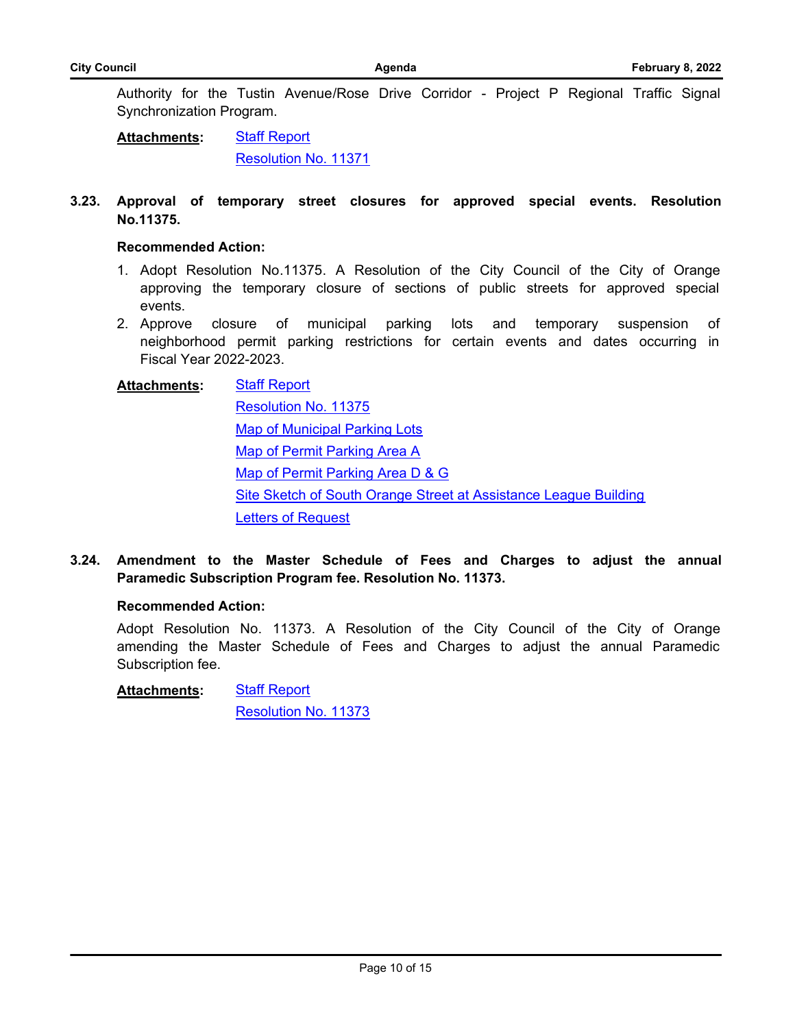Authority for the Tustin Avenue/Rose Drive Corridor - Project P Regional Traffic Signal Synchronization Program.

[Staff Report](http://cityoforange.legistar.com/gateway.aspx?M=F&ID=3048e50d-4958-4cc1-976f-a4122eed2b80.pdf) [Resolution No. 11371](http://cityoforange.legistar.com/gateway.aspx?M=F&ID=e3c6a069-d97b-4ca0-88cb-00149c59be05.pdf) **Attachments:**

### **3.23. [Approval of temporary street closures for approved special events. Resolution](http://cityoforange.legistar.com/gateway.aspx?m=l&id=/matter.aspx?key=2399) No.11375.**

### **Recommended Action:**

- 1. Adopt Resolution No.11375. A Resolution of the City Council of the City of Orange approving the temporary closure of sections of public streets for approved special events.
- 2. Approve closure of municipal parking lots and temporary suspension of neighborhood permit parking restrictions for certain events and dates occurring in Fiscal Year 2022-2023.

# **[Staff Report](http://cityoforange.legistar.com/gateway.aspx?M=F&ID=5a3f1d8d-b76e-4061-981f-be164fa97d92.pdf)** [Resolution No. 11375](http://cityoforange.legistar.com/gateway.aspx?M=F&ID=5c53c257-6f57-43d6-803f-55fe24eb4168.pdf) [Map of Municipal Parking Lots](http://cityoforange.legistar.com/gateway.aspx?M=F&ID=774d36ed-530d-44c8-bf56-f5bdb0ef4552.pdf) [Map of Permit Parking Area A](http://cityoforange.legistar.com/gateway.aspx?M=F&ID=99d729cc-230f-4303-a4b6-75b5cdb5fa64.pdf) [Map of Permit Parking Area D & G](http://cityoforange.legistar.com/gateway.aspx?M=F&ID=ee4cec29-f360-48f9-b813-5add69f7165c.pdf) [Site Sketch of South Orange Street at Assistance League Building](http://cityoforange.legistar.com/gateway.aspx?M=F&ID=334f0885-54e7-403a-bfec-5f2803879b0b.pdf) [Letters of Request](http://cityoforange.legistar.com/gateway.aspx?M=F&ID=5803df9d-f5bb-4e51-a43a-b55e010d6f01.pdf) **Attachments:**

**3.24. [Amendment to the Master Schedule of Fees and Charges to adjust the annual](http://cityoforange.legistar.com/gateway.aspx?m=l&id=/matter.aspx?key=2447) Paramedic Subscription Program fee. Resolution No. 11373.**

### **Recommended Action:**

Adopt Resolution No. 11373. A Resolution of the City Council of the City of Orange amending the Master Schedule of Fees and Charges to adjust the annual Paramedic Subscription fee.

[Staff Report](http://cityoforange.legistar.com/gateway.aspx?M=F&ID=87ef2504-be14-419d-9fe9-45c7f7121851.pdf) **Attachments:**

[Resolution No. 11373](http://cityoforange.legistar.com/gateway.aspx?M=F&ID=2008c4ae-4f4f-4835-a9d3-2fe28b01ad4f.pdf)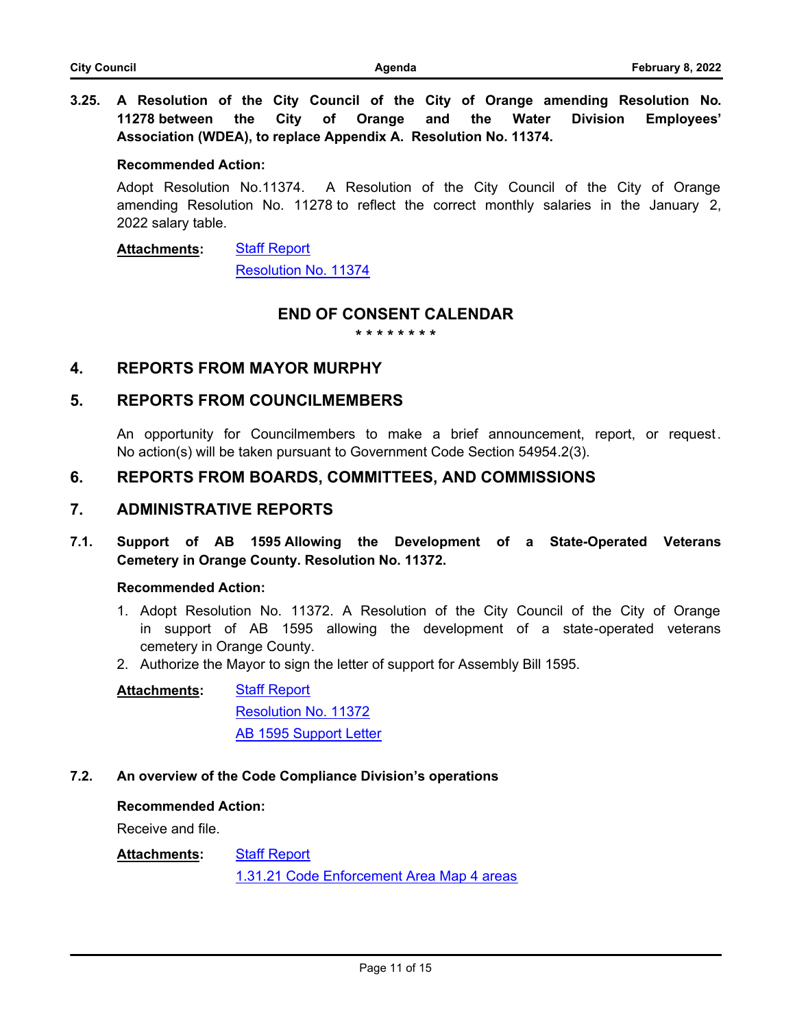**3.25. [A Resolution of the City Council of the City of Orange amending Resolution No.](http://cityoforange.legistar.com/gateway.aspx?m=l&id=/matter.aspx?key=2453) 11278 between the City of Orange and the Water Division Employees' Association (WDEA), to replace Appendix A. Resolution No. 11374.**

#### **Recommended Action:**

Adopt Resolution No.11374. A Resolution of the City Council of the City of Orange amending Resolution No. 11278 to reflect the correct monthly salaries in the January 2, 2022 salary table.

[Staff Report](http://cityoforange.legistar.com/gateway.aspx?M=F&ID=cb93d261-5f0d-491b-9f45-4ec8b97ac3ca.pdf) **Attachments:**

[Resolution No. 11374](http://cityoforange.legistar.com/gateway.aspx?M=F&ID=6d849982-b3f9-4d2e-9ee3-0c4e6e783d58.pdf)

### **END OF CONSENT CALENDAR**

**\* \* \* \* \* \* \* \***

### **4. REPORTS FROM MAYOR MURPHY**

### **5. REPORTS FROM COUNCILMEMBERS**

An opportunity for Councilmembers to make a brief announcement, report, or request. No action(s) will be taken pursuant to Government Code Section 54954.2(3).

### **6. REPORTS FROM BOARDS, COMMITTEES, AND COMMISSIONS**

### **7. ADMINISTRATIVE REPORTS**

**7.1. [Support of AB 1595 Allowing the Development of a State-Operated Veterans](http://cityoforange.legistar.com/gateway.aspx?m=l&id=/matter.aspx?key=2418) Cemetery in Orange County. Resolution No. 11372.**

### **Recommended Action:**

- 1. Adopt Resolution No. 11372. A Resolution of the City Council of the City of Orange in support of AB 1595 allowing the development of a state-operated veterans cemetery in Orange County.
- 2. Authorize the Mayor to sign the letter of support for Assembly Bill 1595.

[Staff Report](http://cityoforange.legistar.com/gateway.aspx?M=F&ID=b1244d68-329a-48ae-8fdd-67e2585881f3.pdf) [Resolution No. 11372](http://cityoforange.legistar.com/gateway.aspx?M=F&ID=312d0ba1-a577-4e77-b516-f80d81ef4c43.pdf) **[AB 1595 Support Letter](http://cityoforange.legistar.com/gateway.aspx?M=F&ID=8bfcc158-9938-4682-bed4-c3691e9a675e.docx) Attachments:**

### **7.2. [An overview of the Code Compliance Division's operations](http://cityoforange.legistar.com/gateway.aspx?m=l&id=/matter.aspx?key=2442)**

### **Recommended Action:**

Receive and file.

#### [Staff Report](http://cityoforange.legistar.com/gateway.aspx?M=F&ID=f8b4dc3b-d13d-453f-a3e3-fc56cd9d1299.pdf) **Attachments:**

[1.31.21 Code Enforcement Area Map 4 areas](http://cityoforange.legistar.com/gateway.aspx?M=F&ID=58933a97-ffb3-47d0-8332-5085179fadca.pdf)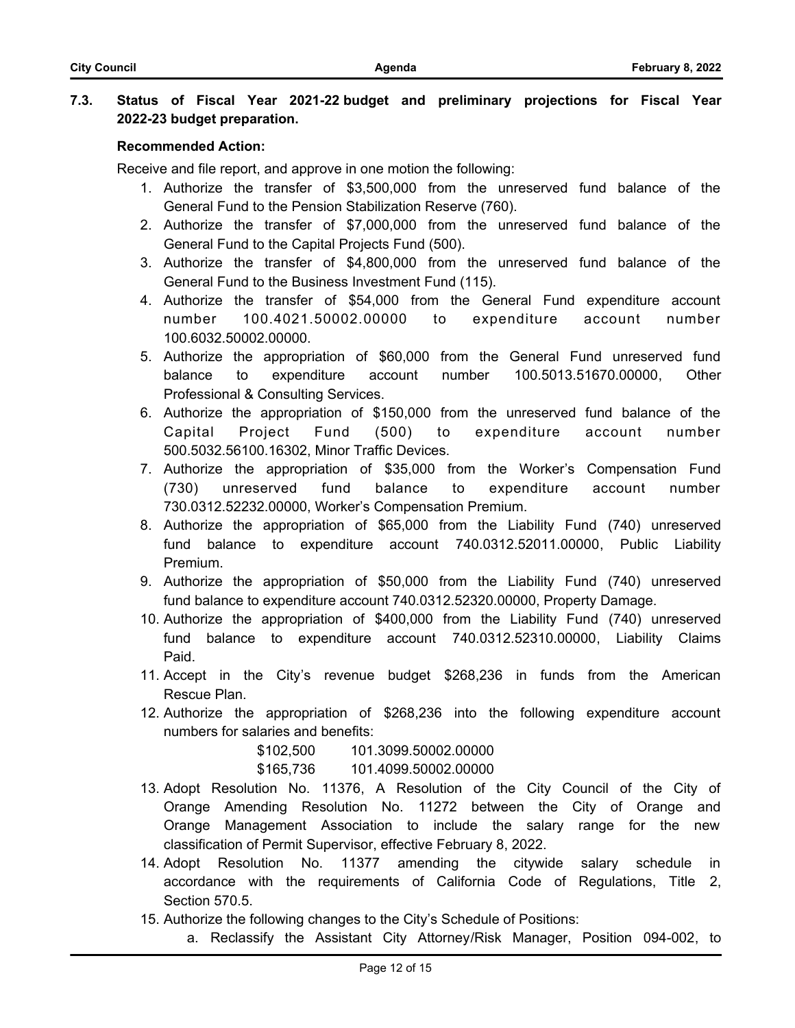### **7.3. [Status of Fiscal Year 2021-22 budget and preliminary projections for Fiscal Year](http://cityoforange.legistar.com/gateway.aspx?m=l&id=/matter.aspx?key=2457) 2022-23 budget preparation.**

### **Recommended Action:**

Receive and file report, and approve in one motion the following:

- 1. Authorize the transfer of \$3,500,000 from the unreserved fund balance of the General Fund to the Pension Stabilization Reserve (760).
- 2. Authorize the transfer of \$7,000,000 from the unreserved fund balance of the General Fund to the Capital Projects Fund (500).
- 3. Authorize the transfer of \$4,800,000 from the unreserved fund balance of the General Fund to the Business Investment Fund (115).
- 4. Authorize the transfer of \$54,000 from the General Fund expenditure account number 100.4021.50002.00000 to expenditure account number 100.6032.50002.00000.
- 5. Authorize the appropriation of \$60,000 from the General Fund unreserved fund balance to expenditure account number 100.5013.51670.00000, Other Professional & Consulting Services.
- 6. Authorize the appropriation of \$150,000 from the unreserved fund balance of the Capital Project Fund (500) to expenditure account number 500.5032.56100.16302, Minor Traffic Devices.
- 7. Authorize the appropriation of \$35,000 from the Worker's Compensation Fund (730) unreserved fund balance to expenditure account number 730.0312.52232.00000, Worker's Compensation Premium.
- 8. Authorize the appropriation of \$65,000 from the Liability Fund (740) unreserved fund balance to expenditure account 740.0312.52011.00000, Public Liability Premium.
- 9. Authorize the appropriation of \$50,000 from the Liability Fund (740) unreserved fund balance to expenditure account 740.0312.52320.00000, Property Damage.
- 10. Authorize the appropriation of \$400,000 from the Liability Fund (740) unreserved fund balance to expenditure account 740.0312.52310.00000, Liability Claims Paid.
- 11. Accept in the City's revenue budget \$268,236 in funds from the American Rescue Plan.
- 12. Authorize the appropriation of \$268,236 into the following expenditure account numbers for salaries and benefits:

\$102,500 101.3099.50002.00000

\$165,736 101.4099.50002.00000

- 13. Adopt Resolution No. 11376, A Resolution of the City Council of the City of Orange Amending Resolution No. 11272 between the City of Orange and Orange Management Association to include the salary range for the new classification of Permit Supervisor, effective February 8, 2022.
- 14. Adopt Resolution No. 11377 amending the citywide salary schedule in accordance with the requirements of California Code of Regulations, Title 2, Section 570.5.
- 15. Authorize the following changes to the City's Schedule of Positions:
	- a. Reclassify the Assistant City Attorney/Risk Manager, Position 094-002, to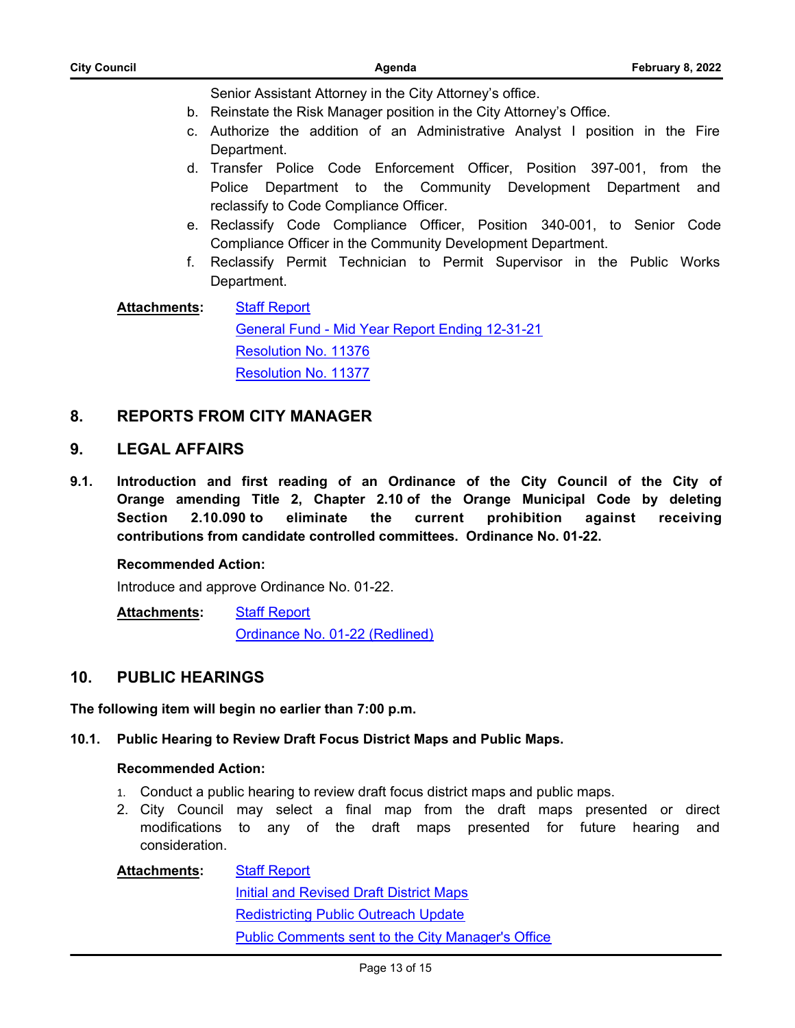| <b>City Council</b> | Agenda                                                                                                                                                                                                                                            | <b>February 8, 2022</b> |
|---------------------|---------------------------------------------------------------------------------------------------------------------------------------------------------------------------------------------------------------------------------------------------|-------------------------|
| C.                  | Senior Assistant Attorney in the City Attorney's office.<br>b. Reinstate the Risk Manager position in the City Attorney's Office.<br>Authorize the addition of an Administrative Analyst I position in the Fire                                   |                         |
|                     | Department.<br>d. Transfer Police Code Enforcement Officer, Position 397-001, from the                                                                                                                                                            |                         |
|                     | Police Department to the Community Development Department and<br>reclassify to Code Compliance Officer.<br>e. Reclassify Code Compliance Officer, Position 340-001, to Senior Code<br>Compliance Officer in the Community Development Department. |                         |
| f.                  | Reclassify Permit Technician to Permit Supervisor in the Public Works<br>Department.                                                                                                                                                              |                         |
| <b>Attachments:</b> | <b>Staff Report</b><br>General Fund - Mid Year Report Ending 12-31-21<br><b>Resolution No. 11376</b><br><b>Resolution No. 11377</b>                                                                                                               |                         |

## **8. REPORTS FROM CITY MANAGER**

### **9. LEGAL AFFAIRS**

**9.1. [Introduction and first reading of an Ordinance of the City Council of the City of](http://cityoforange.legistar.com/gateway.aspx?m=l&id=/matter.aspx?key=2467) Orange amending Title 2, Chapter 2.10 of the Orange Municipal Code by deleting Section 2.10.090 to eliminate the current prohibition against receiving contributions from candidate controlled committees. Ordinance No. 01-22.**

### **Recommended Action:**

Introduce and approve Ordinance No. 01-22.

[Staff Report](http://cityoforange.legistar.com/gateway.aspx?M=F&ID=11879bc2-a671-42c4-99e3-561d562a4eae.pdf) [Ordinance No. 01-22 \(Redlined\)](http://cityoforange.legistar.com/gateway.aspx?M=F&ID=8d52fe13-b5e9-40d8-ad13-f724bccccf4b.pdf) **Attachments:**

## **10. PUBLIC HEARINGS**

**The following item will begin no earlier than 7:00 p.m.**

### **10.1. [Public Hearing to Review Draft Focus District Maps and Public Maps.](http://cityoforange.legistar.com/gateway.aspx?m=l&id=/matter.aspx?key=2458)**

### **Recommended Action:**

- 1. Conduct a public hearing to review draft focus district maps and public maps.
- 2. City Council may select a final map from the draft maps presented or direct modifications to any of the draft maps presented for future hearing and consideration.

### [Staff Report](http://cityoforange.legistar.com/gateway.aspx?M=F&ID=666acaf8-9c58-47ae-8b6c-7c5334992d39.pdf) **[Initial and Revised Draft District Maps](http://cityoforange.legistar.com/gateway.aspx?M=F&ID=8b41c116-45eb-4ab1-9bcd-aa071dc43781.pdf)** [Redistricting Public Outreach Update](http://cityoforange.legistar.com/gateway.aspx?M=F&ID=4927c15d-723c-40dc-8083-2de019a7385e.docx) [Public Comments sent to the City Manager's Office](http://cityoforange.legistar.com/gateway.aspx?M=F&ID=30625496-8c3d-4707-9d7d-db2142f039f0.docx) **Attachments:**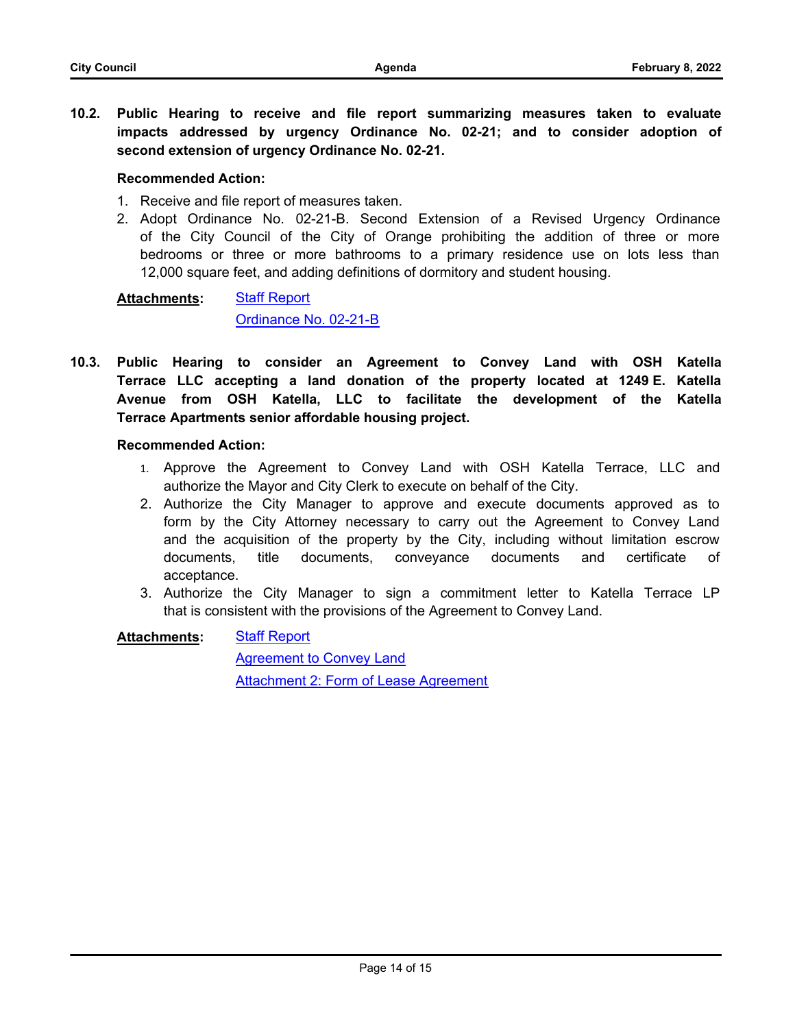**10.2. [Public Hearing to receive and file report summarizing measures taken to evaluate](http://cityoforange.legistar.com/gateway.aspx?m=l&id=/matter.aspx?key=2412) impacts addressed by urgency Ordinance No. 02-21; and to consider adoption of second extension of urgency Ordinance No. 02-21.**

### **Recommended Action:**

- 1. Receive and file report of measures taken.
- 2. Adopt Ordinance No. 02-21-B. Second Extension of a Revised Urgency Ordinance of the City Council of the City of Orange prohibiting the addition of three or more bedrooms or three or more bathrooms to a primary residence use on lots less than 12,000 square feet, and adding definitions of dormitory and student housing.

#### [Staff Report](http://cityoforange.legistar.com/gateway.aspx?M=F&ID=7e049712-b148-4312-8876-097aa37a96bf.pdf) [Ordinance No. 02-21-B](http://cityoforange.legistar.com/gateway.aspx?M=F&ID=fcb1e3c7-cd99-4cdb-b739-e12b6f08fe83.pdf) **Attachments:**

**10.3. Public Hearing to consider an Agreement to Convey Land with OSH Katella Terrace LLC accepting a land donation of the property located at 1249 E. Katella [Avenue from OSH Katella, LLC to facilitate the development of the Katella](http://cityoforange.legistar.com/gateway.aspx?m=l&id=/matter.aspx?key=2419) Terrace Apartments senior affordable housing project.**

### **Recommended Action:**

- 1. Approve the Agreement to Convey Land with OSH Katella Terrace, LLC and authorize the Mayor and City Clerk to execute on behalf of the City.
- 2. Authorize the City Manager to approve and execute documents approved as to form by the City Attorney necessary to carry out the Agreement to Convey Land and the acquisition of the property by the City, including without limitation escrow documents, title documents, conveyance documents and certificate of acceptance.
- 3. Authorize the City Manager to sign a commitment letter to Katella Terrace LP that is consistent with the provisions of the Agreement to Convey Land.

[Staff Report](http://cityoforange.legistar.com/gateway.aspx?M=F&ID=fd36b982-d09f-48c0-9b96-12204af2084f.pdf) **Attachments:**

> [Agreement to Convey Land](http://cityoforange.legistar.com/gateway.aspx?M=F&ID=062aa61a-2902-42f8-b278-305232d12048.pdf) [Attachment 2: Form of Lease Agreement](http://cityoforange.legistar.com/gateway.aspx?M=F&ID=9d2d0c53-e495-4caf-b552-1f4f0f4bab41.pdf)